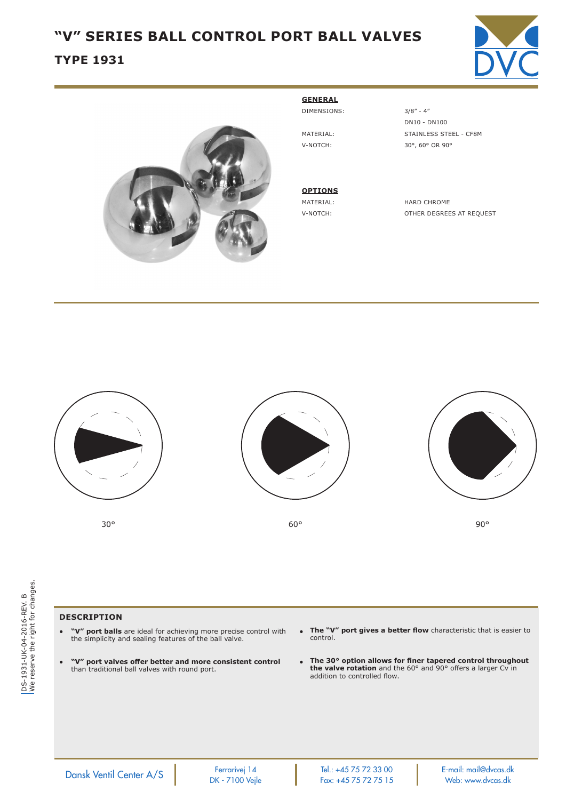# **"V" SERIES BALL CONTROL PORT BALL VALVES**

## **TYPE 1931**





#### **GENERAL** DIMENSIONS: 3/8" - 4"

**OPTIONS**

 DN10 - DN100 MATERIAL: STAINLESS STEEL - CF8M V-NOTCH: 30°, 60° OR 90°

MATERIAL: HARD CHROME V-NOTCH: OTHER DEGREES AT REQUEST







 $30^{\circ}$  and  $50^{\circ}$  60° between  $90^{\circ}$  50° between  $90^{\circ}$ 

DS-1931-UK-04-2016-REV. B<br>We reserve the right for changes. We reserve the right for changes.DS-1931-UK-04-2016-REV. B

### **DESCRIPTION**

- **"V" port balls** are ideal for achieving more precise control with the simplicity and sealing features of the ball valve.
- **"V" port valves offer better and more consistent control** than traditional ball valves with round port.
- **The "V" port gives a better flow** characteristic that is easier to control.
- **The 30° option allows for finer tapered control throughout the valve rotation** and the 60° and 90° offers a larger Cv in addition to controlled flow.

Ferrarivej 14 Tel.: +45 75 72 33 00 E-mail: mail@dvcas.dk